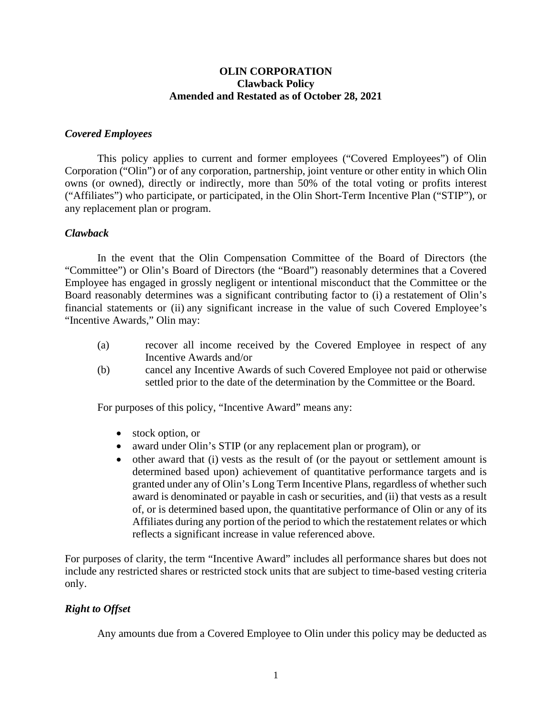### **OLIN CORPORATION Clawback Policy Amended and Restated as of October 28, 2021**

## *Covered Employees*

This policy applies to current and former employees ("Covered Employees") of Olin Corporation ("Olin") or of any corporation, partnership, joint venture or other entity in which Olin owns (or owned), directly or indirectly, more than 50% of the total voting or profits interest ("Affiliates") who participate, or participated, in the Olin Short-Term Incentive Plan ("STIP"), or any replacement plan or program.

### *Clawback*

In the event that the Olin Compensation Committee of the Board of Directors (the "Committee") or Olin's Board of Directors (the "Board") reasonably determines that a Covered Employee has engaged in grossly negligent or intentional misconduct that the Committee or the Board reasonably determines was a significant contributing factor to (i) a restatement of Olin's financial statements or (ii) any significant increase in the value of such Covered Employee's "Incentive Awards," Olin may:

- (a) recover all income received by the Covered Employee in respect of any Incentive Awards and/or
- (b) cancel any Incentive Awards of such Covered Employee not paid or otherwise settled prior to the date of the determination by the Committee or the Board.

For purposes of this policy, "Incentive Award" means any:

- stock option, or
- award under Olin's STIP (or any replacement plan or program), or
- other award that (i) vests as the result of (or the payout or settlement amount is determined based upon) achievement of quantitative performance targets and is granted under any of Olin's Long Term Incentive Plans, regardless of whether such award is denominated or payable in cash or securities, and (ii) that vests as a result of, or is determined based upon, the quantitative performance of Olin or any of its Affiliates during any portion of the period to which the restatement relates or which reflects a significant increase in value referenced above.

For purposes of clarity, the term "Incentive Award" includes all performance shares but does not include any restricted shares or restricted stock units that are subject to time-based vesting criteria only.

# *Right to Offset*

Any amounts due from a Covered Employee to Olin under this policy may be deducted as